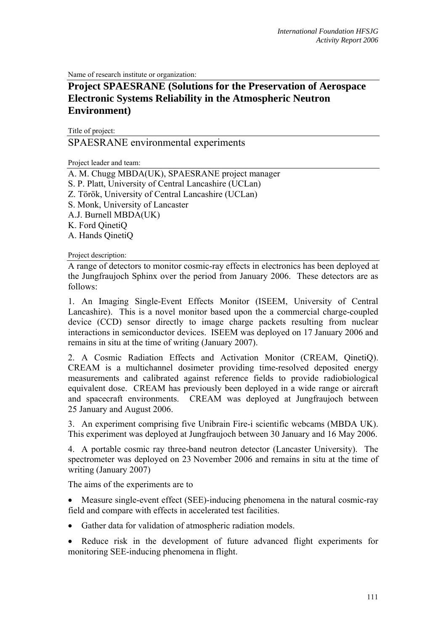Name of research institute or organization:

## **Project SPAESRANE (Solutions for the Preservation of Aerospace Electronic Systems Reliability in the Atmospheric Neutron Environment)**

Title of project:

## SPAESRANE environmental experiments

Project leader and team:

A. M. Chugg MBDA(UK), SPAESRANE project manager S. P. Platt, University of Central Lancashire (UCLan) Z. Török, University of Central Lancashire (UCLan) S. Monk, University of Lancaster A.J. Burnell MBDA(UK) K. Ford QinetiQ A. Hands QinetiQ

Project description:

A range of detectors to monitor cosmic-ray effects in electronics has been deployed at the Jungfraujoch Sphinx over the period from January 2006. These detectors are as follows:

1. An Imaging Single-Event Effects Monitor (ISEEM, University of Central Lancashire). This is a novel monitor based upon the a commercial charge-coupled device (CCD) sensor directly to image charge packets resulting from nuclear interactions in semiconductor devices. ISEEM was deployed on 17 January 2006 and remains in situ at the time of writing (January 2007).

2. A Cosmic Radiation Effects and Activation Monitor (CREAM, QinetiQ). CREAM is a multichannel dosimeter providing time-resolved deposited energy measurements and calibrated against reference fields to provide radiobiological equivalent dose. CREAM has previously been deployed in a wide range or aircraft and spacecraft environments. CREAM was deployed at Jungfraujoch between 25 January and August 2006.

3. An experiment comprising five Unibrain Fire-i scientific webcams (MBDA UK). This experiment was deployed at Jungfraujoch between 30 January and 16 May 2006.

4. A portable cosmic ray three-band neutron detector (Lancaster University). The spectrometer was deployed on 23 November 2006 and remains in situ at the time of writing (January 2007)

The aims of the experiments are to

• Measure single-event effect (SEE)-inducing phenomena in the natural cosmic-ray field and compare with effects in accelerated test facilities.

- Gather data for validation of atmospheric radiation models.
- Reduce risk in the development of future advanced flight experiments for monitoring SEE-inducing phenomena in flight.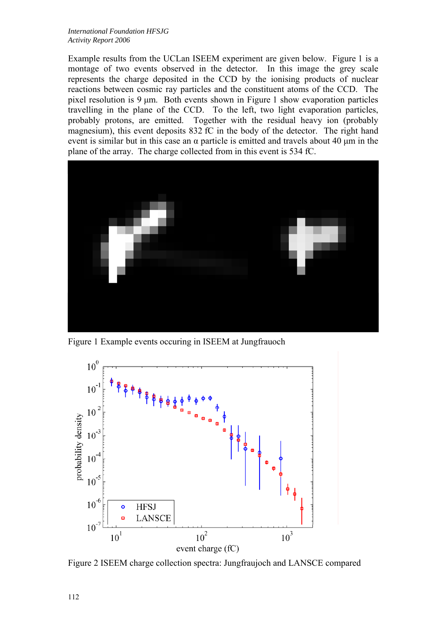Example results from the UCLan ISEEM experiment are given below. Figure 1 is a montage of two events observed in the detector. In this image the grey scale represents the charge deposited in the CCD by the ionising products of nuclear reactions between cosmic ray particles and the constituent atoms of the CCD. The pixel resolution is 9 µm. Both events shown in Figure 1 show evaporation particles travelling in the plane of the CCD. To the left, two light evaporation particles, probably protons, are emitted. Together with the residual heavy ion (probably magnesium), this event deposits 832 fC in the body of the detector. The right hand event is similar but in this case an  $\alpha$  particle is emitted and travels about 40  $\mu$ m in the plane of the array. The charge collected from in this event is 534 fC.



Figure 1 Example events occuring in ISEEM at Jungfrauoch



Figure 2 ISEEM charge collection spectra: Jungfraujoch and LANSCE compared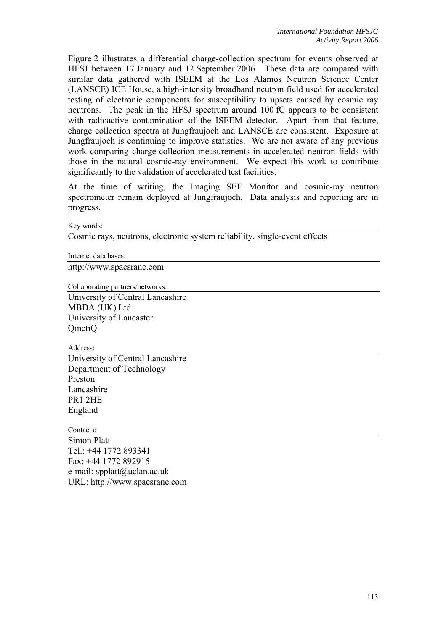Figure 2 illustrates a differential charge-collection spectrum for events observed at HFSJ between 17 January and 12 September 2006. These data are compared with similar data gathered with ISEEM at the Los Alamos Neutron Science Center (LANSCE) ICE House, a high-intensity broadband neutron field used for accelerated testing of electronic components for susceptibility to upsets caused by cosmic ray neutrons. The peak in the HFSJ spectrum around 100 fC appears to be consistent with radioactive contamination of the ISEEM detector. Apart from that feature, charge collection spectra at Jungfraujoch and LANSCE are consistent. Exposure at Jungfraujoch is continuing to improve statistics. We are not aware of any previous work comparing charge-collection measurements in accelerated neutron fields with those in the natural cosmic-ray environment. We expect this work to contribute significantly to the validation of accelerated test facilities.

At the time of writing, the Imaging SEE Monitor and cosmic-ray neutron spectrometer remain deployed at Jungfraujoch. Data analysis and reporting are in progress.

Key words:

Cosmic rays, neutrons, electronic system reliability, single-event effects

Internet data bases:

http://www.spaesrane.com

Collaborating partners/networks:

University of Central Lancashire MBDA (UK) Ltd. University of Lancaster QinetiQ

Address:

University of Central Lancashire Department of Technology Preston Lancashire PR1 2HE England

Contacts:

Simon Platt Tel.: +44 1772 893341 Fax: +44 1772 892915 e-mail: spplatt@uclan.ac.uk URL: http://www.spaesrane.com